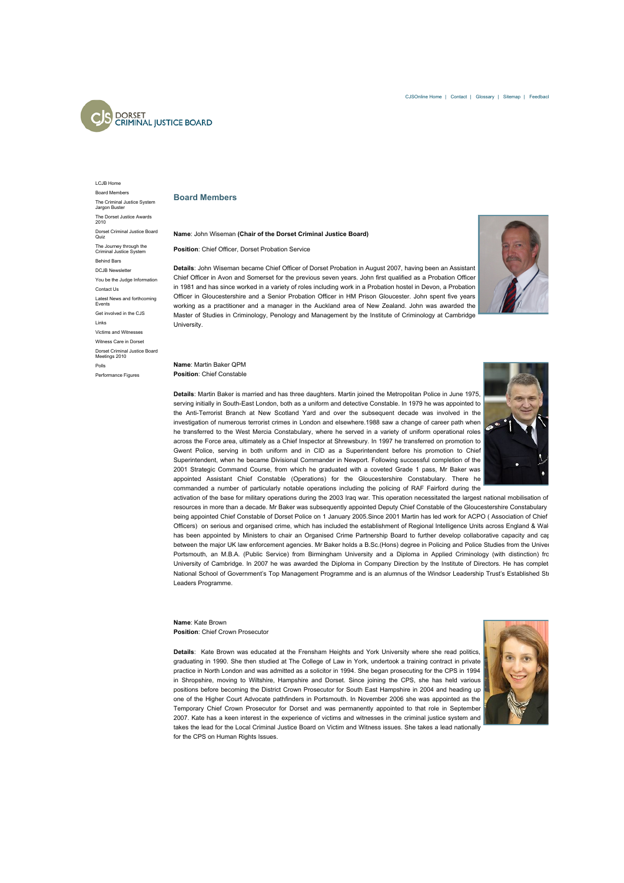

## **Board Members**

## **Name**: John Wiseman **(Chair of the Dorset Criminal Justice Board)**

**Position**: Chief Officer, Dorset Probation Service

**Details**: John Wiseman became Chief Officer of Dorset Probation in August 2007, having been an Assistant Chief Officer in Avon and Somerset for the previous seven years. John first qualified as a Probation Officer in 1981 and has since worked in a variety of roles including work in a Probation hostel in Devon, a Probation Officer in Gloucestershire and a Senior Probation Officer in HM Prison Gloucester. John spent five years working as a practitioner and a manager in the Auckland area of New Zealand. John was awarded the Master of Studies in Criminology, Penology and Management by the Institute of Criminology at Cambridge University.

## **Name**: Martin Baker QPM **Position**: Chief Constable

**Details**: Martin Baker is married and has three daughters. Martin joined the Metropolitan Police in June 1975, serving initially in South-East London, both as a uniform and detective Constable. In 1979 he was appointed to the Anti-Terrorist Branch at New Scotland Yard and over the subsequent decade was involved in the investigation of numerous terrorist crimes in London and elsewhere.1988 saw a change of career path when he transferred to the West Mercia Constabulary, where he served in a variety of uniform operational roles across the Force area, ultimately as a Chief Inspector at Shrewsbury. In 1997 he transferred on promotion to Gwent Police, serving in both uniform and in CID as a Superintendent before his promotion to Chief Superintendent, when he became Divisional Commander in Newport. Following successful completion of the 2001 Strategic Command Course, from which he graduated with a coveted Grade 1 pass, Mr Baker was appointed Assistant Chief Constable (Operations) for the Gloucestershire Constabulary. There he commanded a number of particularly notable operations including the policing of RAF Fairford during the



activation of the base for military operations during the 2003 Iraq war. This operation necessitated the largest national mobilisation of resources in more than a decade. Mr Baker was subsequently appointed Deputy Chief Constable of the Gloucestershire Constabulary being appointed Chief Constable of Dorset Police on 1 January 2005.Since 2001 Martin has led work for ACPO (Association of Chief Officers) on serious and organised crime, which has included the establishment of Regional Intelligence Units across England & Wal has been appointed by Ministers to chair an Organised Crime Partnership Board to further develop collaborative capacity and cap between the major UK law enforcement agencies. Mr Baker holds a B.Sc.(Hons) degree in Policing and Police Studies from the Univer Portsmouth, an M.B.A. (Public Service) from Birmingham University and a Diploma in Applied Criminology (with distinction) from University of Cambridge. In 2007 he was awarded the Diploma in Company Direction by the Institute of Directors. He has complet National School of Government's Top Management Programme and is an alumnus of the Windsor Leadership Trust's Established Str Leaders Programme.

## **Name**: Kate Brown **Position**: Chief Crown Prosecutor

**Details**: Kate Brown was educated at the Frensham Heights and York University where she read politics, graduating in 1990. She then studied at The College of Law in York, undertook a training contract in private practice in North London and was admitted as a solicitor in 1994. She began prosecuting for the CPS in 1994 in Shropshire, moving to Wiltshire, Hampshire and Dorset. Since joining the CPS, she has held various positions before becoming the District Crown Prosecutor for South East Hampshire in 2004 and heading up one of the Higher Court Advocate pathfinders in Portsmouth. In November 2006 she was appointed as the Temporary Chief Crown Prosecutor for Dorset and was permanently appointed to that role in September 2007. Kate has a keen interest in the experience of victims and witnesses in the criminal justice system and takes the lead for the Local Criminal Justice Board on Victim and Witness issues. She takes a lead nationally for the CPS on Human Rights Issues.



[LCJB Home](http://webarchive.nationalarchives.gov.uk/20110222141317/http://lcjb.cjsonline.gov.uk/Dorset/home.html) [Board Members](http://webarchive.nationalarchives.gov.uk/20110222141317/http://lcjb.cjsonline.gov.uk/Dorset/1066.html) [The Criminal Justice System](http://webarchive.nationalarchives.gov.uk/20110222141317/http://lcjb.cjsonline.gov.uk/Dorset/3793.html) Jargon Buster [The Dorset Justice Awards](http://webarchive.nationalarchives.gov.uk/20110222141317/http://lcjb.cjsonline.gov.uk/Dorset/1767.html) 2010 [Dorset Criminal Justice Board](http://webarchive.nationalarchives.gov.uk/20110222141317/http://lcjb.cjsonline.gov.uk/Dorset/3218.html) Quiz [The Journey through the](http://webarchive.nationalarchives.gov.uk/20110222141317/http://lcjb.cjsonline.gov.uk/Dorset/3782.html) Criminal Justice System [Behind Bars](http://webarchive.nationalarchives.gov.uk/20110222141317/http://lcjb.cjsonline.gov.uk/Dorset/2581.html) DC IR Newslette [You be the Judge Information](http://webarchive.nationalarchives.gov.uk/20110222141317/http://lcjb.cjsonline.gov.uk/Dorset/3936.html) [Contact Us](http://webarchive.nationalarchives.gov.uk/20110222141317/http://lcjb.cjsonline.gov.uk/Dorset/1069.html) [Latest News and forthcoming](http://webarchive.nationalarchives.gov.uk/20110222141317/http://lcjb.cjsonline.gov.uk/Dorset/664.html) **Events** [Get involved in the CJS](http://webarchive.nationalarchives.gov.uk/20110222141317/http://lcjb.cjsonline.gov.uk/Dorset/2657.html) [Links](http://webarchive.nationalarchives.gov.uk/20110222141317/http://lcjb.cjsonline.gov.uk/Dorset/1068.html) [Victims and Witnesses](http://webarchive.nationalarchives.gov.uk/20110222141317/http://lcjb.cjsonline.gov.uk/Dorset/3167.html) Witness Care in Dors [Dorset Criminal Justice Board](http://webarchive.nationalarchives.gov.uk/20110222141317/http://lcjb.cjsonline.gov.uk/Dorset/1067.html) Meetings 2010 [Polls](http://webarchive.nationalarchives.gov.uk/20110222141317/http://lcjb.cjsonline.gov.uk/polls.asp?area=9)

[Performance Figures](http://webarchive.nationalarchives.gov.uk/20110222141317/http://lcjb.cjsonline.gov.uk/Dorset/performance.html)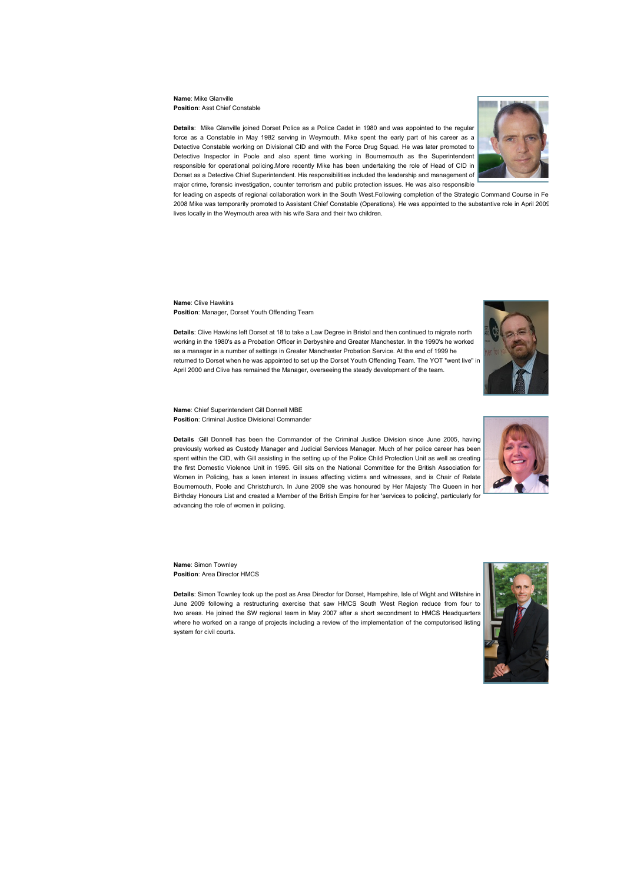**Name**: Mike Glanville **Position**: Asst Chief Constable

**Details**: Mike Glanville joined Dorset Police as a Police Cadet in 1980 and was appointed to the regular force as a Constable in May 1982 serving in Weymouth. Mike spent the early part of his career as a Detective Constable working on Divisional CID and with the Force Drug Squad. He was later promoted to Detective Inspector in Poole and also spent time working in Bournemouth as the Superintendent responsible for operational policing.More recently Mike has been undertaking the role of Head of CID in Dorset as a Detective Chief Superintendent. His responsibilities included the leadership and management of major crime, forensic investigation, counter terrorism and public protection issues. He was also responsible



for leading on aspects of regional collaboration work in the South West.Following completion of the Strategic Command Course in Fe 2008 Mike was temporarily promoted to Assistant Chief Constable (Operations). He was appointed to the substantive role in April 2009. Mike lives locally in the Weymouth area with his wife Sara and their two children.

**Name**: Clive Hawkins **Position**: Manager, Dorset Youth Offending Team

**Details**: Clive Hawkins left Dorset at 18 to take a Law Degree in Bristol and then continued to migrate north working in the 1980's as a Probation Officer in Derbyshire and Greater Manchester. In the 1990's he worked as a manager in a number of settings in Greater Manchester Probation Service. At the end of 1999 he returned to Dorset when he was appointed to set up the Dorset Youth Offending Team. The YOT "went live" in April 2000 and Clive has remained the Manager, overseeing the steady development of the team.



**Name**: Chief Superintendent Gill Donnell MBE **Position**: Criminal Justice Divisional Commander

**Details** :Gill Donnell has been the Commander of the Criminal Justice Division since June 2005, having previously worked as Custody Manager and Judicial Services Manager. Much of her police career has been spent within the CID, with Gill assisting in the setting up of the Police Child Protection Unit as well as creating the first Domestic Violence Unit in 1995. Gill sits on the National Committee for the British Association for Women in Policing, has a keen interest in issues affecting victims and witnesses, and is Chair of Relate Bournemouth, Poole and Christchurch. In June 2009 she was honoured by Her Majesty The Queen in her Birthday Honours List and created a Member of the British Empire for her 'services to policing', particularly for advancing the role of women in policing.

**Name**: Simon Townley **Position**: Area Director HMCS

**Details**: Simon Townley took up the post as Area Director for Dorset, Hampshire, Isle of Wight and Wiltshire in June 2009 following a restructuring exercise that saw HMCS South West Region reduce from four to two areas. He joined the SW regional team in May 2007 after a short secondment to HMCS Headquarters where he worked on a range of projects including a review of the implementation of the computorised listing system for civil courts.